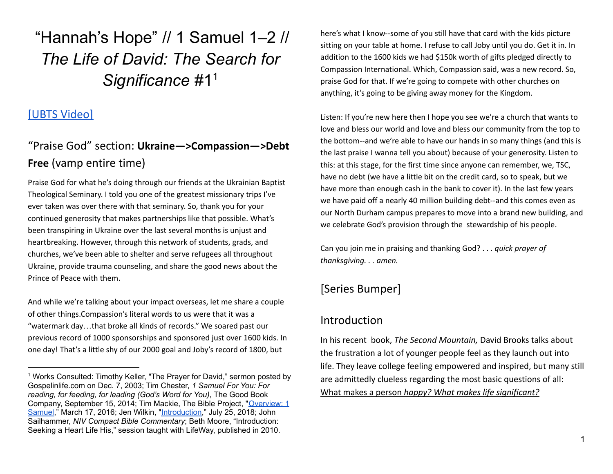"Hannah's Hope" // 1 Samuel 1–2 // *The Life of David: The Search for Significance* #1<sup>1</sup>

## [[UBTS](https://mail.google.com/mail/u/1/#search/amy+ukraine/FMfcgzGpFqSxknNmxzrmTJNGNCLQzTlf?projector=1) Video]

# "Praise God" section: **Ukraine—>Compassion—>Debt Free** (vamp entire time)

Praise God for what he's doing through our friends at the Ukrainian Baptist Theological Seminary. I told you one of the greatest missionary trips I've ever taken was over there with that seminary. So, thank you for your continued generosity that makes partnerships like that possible. What's been transpiring in Ukraine over the last several months is unjust and heartbreaking. However, through this network of students, grads, and churches, we've been able to shelter and serve refugees all throughout Ukraine, provide trauma counseling, and share the good news about the Prince of Peace with them.

And while we're talking about your impact overseas, let me share a couple of other things.Compassion's literal words to us were that it was a "watermark day…that broke all kinds of records." We soared past our previous record of 1000 sponsorships and sponsored just over 1600 kids. In one day! That's a little shy of our 2000 goal and Joby's record of 1800, but

here's what I know--some of you still have that card with the kids picture sitting on your table at home. I refuse to call Joby until you do. Get it in. In addition to the 1600 kids we had \$150k worth of gifts pledged directly to Compassion International. Which, Compassion said, was a new record. So, praise God for that. If we're going to compete with other churches on anything, it's going to be giving away money for the Kingdom.

Listen: If you're new here then I hope you see we're a church that wants to love and bless our world and love and bless our community from the top to the bottom--and we're able to have our hands in so many things (and this is the last praise I wanna tell you about) because of your generosity. Listen to this: at this stage, for the first time since anyone can remember, we, TSC, have no debt (we have a little bit on the credit card, so to speak, but we have more than enough cash in the bank to cover it). In the last few years we have paid off a nearly 40 million building debt--and this comes even as our North Durham campus prepares to move into a brand new building, and we celebrate God's provision through the stewardship of his people.

Can you join me in praising and thanking God? . . . *quick prayer of thanksgiving. . . amen.*

## [Series Bumper]

## Introduction

In his recent book, *The Second Mountain,* David Brooks talks about the frustration a lot of younger people feel as they launch out into life. They leave college feeling empowered and inspired, but many still are admittedly clueless regarding the most basic questions of all: What makes a person *happy? What makes life significant?*

<sup>&</sup>lt;sup>1</sup> Works Consulted: Timothy Keller, "The Prayer for David," sermon posted by Gospelinlife.com on Dec. 7, 2003; Tim Chester, *1 Samuel For You: For reading, for feeding, for leading (God's Word for You)*, The Good Book Company, September 15, 2014; Tim Mackie, The Bible Project, "[Overview:](https://www.youtube.com/watch?v=QJOju5Dw0V0) 1 [Samuel,](https://www.youtube.com/watch?v=QJOju5Dw0V0)" March 17, 2016; Jen Wilkin, ["Introduction,](https://www.tvcresources.net/resource-library/classes/part-1-introduction/)" July 25, 2018; John Sailhammer, *NIV Compact Bible Commentary*; Beth Moore, "Introduction: Seeking a Heart Life His," session taught with LifeWay, published in 2010.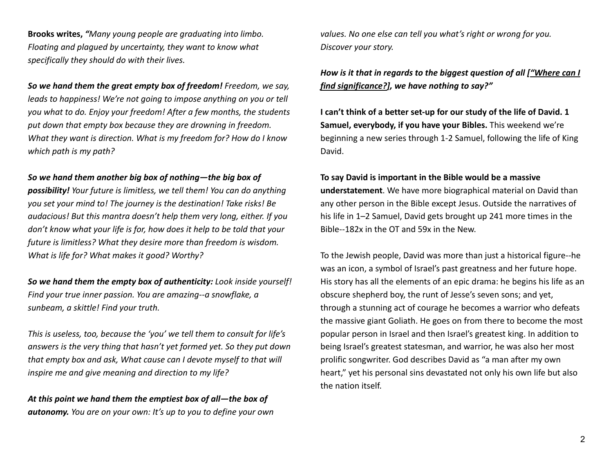**Brooks writes,** *"Many young people are graduating into limbo. Floating and plagued by uncertainty, they want to know what specifically they should do with their lives.*

*So we hand them the great empty box of freedom! Freedom, we say, leads to happiness! We're not going to impose anything on you or tell you what to do. Enjoy your freedom! After a few months, the students put down that empty box because they are drowning in freedom. What they want is direction. What is my freedom for? How do I know which path is my path?*

#### *So we hand them another big box of nothing—the big box of*

*possibility! Your future is limitless, we tell them! You can do anything you set your mind to! The journey is the destination! Take risks! Be audacious! But this mantra doesn't help them very long, either. If you don't know what your life is for, how does it help to be told that your future is limitless? What they desire more than freedom is wisdom. What is life for? What makes it good? Worthy?*

*So we hand them the empty box of authenticity: Look inside yourself! Find your true inner passion. You are amazing--a snowflake, a sunbeam, a skittle! Find your truth.*

*This is useless, too, because the 'you' we tell them to consult for life's answers is the very thing that hasn't yet formed yet. So they put down that empty box and ask, What cause can I devote myself to that will inspire me and give meaning and direction to my life?*

*At this point we hand them the emptiest box of all—the box of autonomy. You are on your own: It's up to you to define your own* *values. No one else can tell you what's right or wrong for you. Discover your story.*

## *How is it that in regards to the biggest question of all ["Where can I find significance?], we have nothing to say?"*

**I can't think of a better set-up for our study of the life of David. 1 Samuel, everybody, if you have your Bibles.** This weekend we're beginning a new series through 1-2 Samuel, following the life of King David.

#### **To say David is important in the Bible would be a massive**

**understatement**. We have more biographical material on David than any other person in the Bible except Jesus. Outside the narratives of his life in 1–2 Samuel, David gets brought up 241 more times in the Bible--182x in the OT and 59x in the New.

To the Jewish people, David was more than just a historical figure--he was an icon, a symbol of Israel's past greatness and her future hope. His story has all the elements of an epic drama: he begins his life as an obscure shepherd boy, the runt of Jesse's seven sons; and yet, through a stunning act of courage he becomes a warrior who defeats the massive giant Goliath. He goes on from there to become the most popular person in Israel and then Israel's greatest king. In addition to being Israel's greatest statesman, and warrior, he was also her most prolific songwriter. God describes David as "a man after my own heart," yet his personal sins devastated not only his own life but also the nation itself.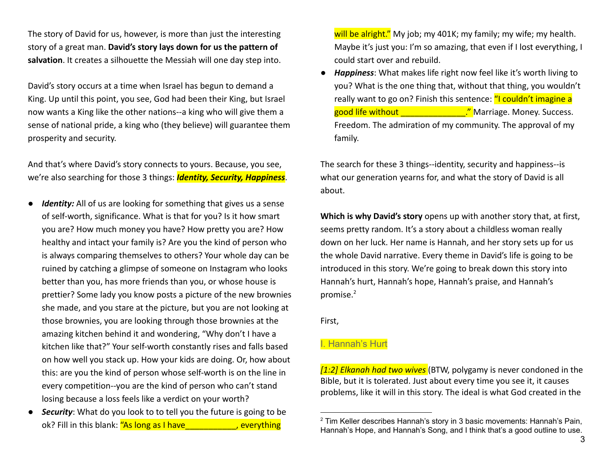The story of David for us, however, is more than just the interesting story of a great man. **David's story lays down for us the pattern of salvation**. It creates a silhouette the Messiah will one day step into.

David's story occurs at a time when Israel has begun to demand a King. Up until this point, you see, God had been their King, but Israel now wants a King like the other nations--a king who will give them a sense of national pride, a king who (they believe) will guarantee them prosperity and security.

And that's where David's story connects to yours. Because, you see, we're also searching for those 3 things: *Identity, Security, Happiness*.

- *Identity:* All of us are looking for something that gives us a sense of self-worth, significance. What is that for you? Is it how smart you are? How much money you have? How pretty you are? How healthy and intact your family is? Are you the kind of person who is always comparing themselves to others? Your whole day can be ruined by catching a glimpse of someone on Instagram who looks better than you, has more friends than you, or whose house is prettier? Some lady you know posts a picture of the new brownies she made, and you stare at the picture, but you are not looking at those brownies, you are looking through those brownies at the amazing kitchen behind it and wondering, "Why don't I have a kitchen like that?" Your self-worth constantly rises and falls based on how well you stack up. How your kids are doing. Or, how about this: are you the kind of person whose self-worth is on the line in every competition--you are the kind of person who can't stand losing because a loss feels like a verdict on your worth?
- *Security*: What do you look to to tell you the future is going to be ok? Fill in this blank: "As long as I have The Manuscripting

will be alright." My job; my 401K; my family; my wife; my health. Maybe it's just you: I'm so amazing, that even if I lost everything, I could start over and rebuild.

● *Happiness*: What makes life right now feel like it's worth living to you? What is the one thing that, without that thing, you wouldn't really want to go on? Finish this sentence: "I couldn't imagine a good life without **Exercise** 2014. The Marriage. Money. Success. Freedom. The admiration of my community. The approval of my family.

The search for these 3 things--identity, security and happiness--is what our generation yearns for, and what the story of David is all about.

**Which is why David's story** opens up with another story that, at first, seems pretty random. It's a story about a childless woman really down on her luck. Her name is Hannah, and her story sets up for us the whole David narrative. Every theme in David's life is going to be introduced in this story. We're going to break down this story into Hannah's hurt, Hannah's hope, Hannah's praise, and Hannah's promise.<sup>2</sup>

First,

#### I. Hannah's Hurt

*[1:2] Elkanah had two wives* (BTW, polygamy is never condoned in the Bible, but it is tolerated. Just about every time you see it, it causes problems, like it will in this story. The ideal is what God created in the

 $2$  Tim Keller describes Hannah's story in 3 basic movements: Hannah's Pain, Hannah's Hope, and Hannah's Song, and I think that's a good outline to use.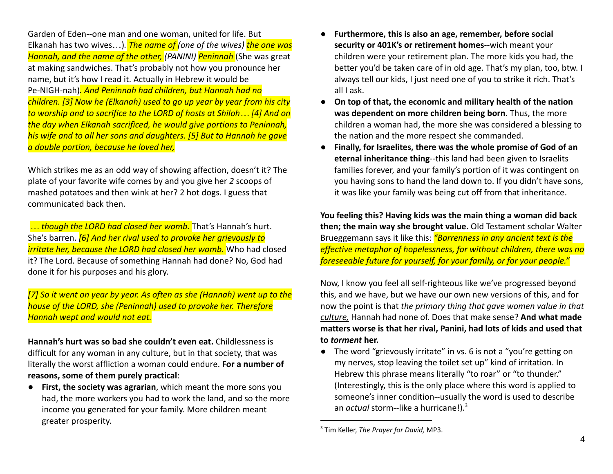Garden of Eden--one man and one woman, united for life. But Elkanah has two wives…)*. The name of (one of the wives) the one was Hannah, and the name of the other, (PANINI) Peninnah* (She was great at making sandwiches. That's probably not how you pronounce her name, but it's how I read it. Actually in Hebrew it would be Pe-NIGH-nah)*. And Peninnah had children, but Hannah had no children. [3] Now he (Elkanah) used to go up year by year from his city to worship and to sacrifice to the LORD of hosts at Shiloh… [4] And on the day when Elkanah sacrificed, he would give portions to Peninnah, his wife and to all her sons and daughters. [5] But to Hannah he gave a double portion, because he loved her,*

Which strikes me as an odd way of showing affection, doesn't it? The plate of your favorite wife comes by and you give her *2* scoops of mashed potatoes and then wink at her? 2 hot dogs. I guess that communicated back then.

*… though the LORD had closed her womb.* That's Hannah's hurt. She's barren. *[6] And her rival used to provoke her grievously to irritate her, because the LORD had closed her womb.* Who had closed it? The Lord. Because of something Hannah had done? No, God had done it for his purposes and his glory.

*[7] So it went on year by year. As often as she (Hannah) went up to the house of the LORD, she (Peninnah) used to provoke her. Therefore Hannah wept and would not eat.*

**Hannah's hurt was so bad she couldn't even eat.** Childlessness is difficult for any woman in any culture, but in that society, that was literally the worst affliction a woman could endure. **For a number of reasons, some of them purely practical**:

● **First, the society was agrarian**, which meant the more sons you had, the more workers you had to work the land, and so the more income you generated for your family. More children meant greater prosperity.

- Furthermore, this is also an age, remember, before social **security or 401K's or retirement homes**--wich meant your children were your retirement plan. The more kids you had, the better you'd be taken care of in old age. That's my plan, too, btw. I always tell our kids, I just need one of you to strike it rich. That's all I ask.
- **On top of that, the economic and military health of the nation was dependent on more children being born**. Thus, the more children a woman had, the more she was considered a blessing to the nation and the more respect she commanded.
- **Finally, for Israelites, there was the whole promise of God of an eternal inheritance thing**--this land had been given to Israelits families forever, and your family's portion of it was contingent on you having sons to hand the land down to. If you didn't have sons, it was like your family was being cut off from that inheritance.

**You feeling this? Having kids was the main thing a woman did back then; the main way she brought value.** Old Testament scholar Walter Brueggemann says it like this: *"Barrenness in any ancient text is the effective metaphor of hopelessness, for without children, there was no foreseeable future for yourself, for your family, or for your people."*

Now, I know you feel all self-righteous like we've progressed beyond this, and we have, but we have our own new versions of this, and for now the point is that *the primary thing that gave women value in that culture,* Hannah had none of. Does that make sense? **And what made matters worse is that her rival, Panini, had lots of kids and used that to** *torment* **her.**

● The word "grievously irritate" in vs. 6 is not a "you're getting on my nerves, stop leaving the toilet set up" kind of irritation. In Hebrew this phrase means literally "to roar" or "to thunder." (Interestingly, this is the only place where this word is applied to someone's inner condition--usually the word is used to describe an *actual* storm--like a hurricane!).<sup>3</sup>

<sup>3</sup> Tim Keller, *The Prayer for David,* MP3.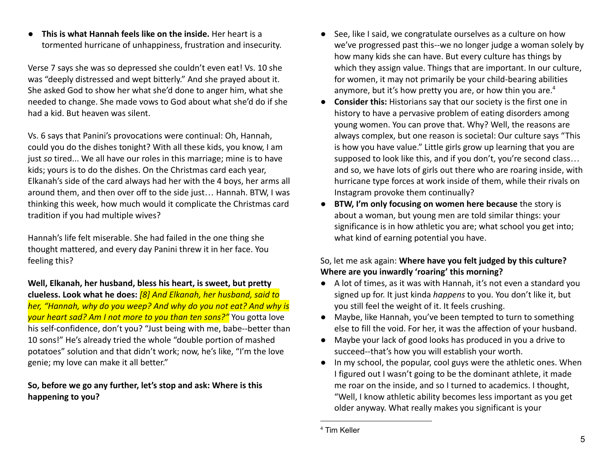● **This is what Hannah feels like on the inside.** Her heart is a tormented hurricane of unhappiness, frustration and insecurity.

Verse 7 says she was so depressed she couldn't even eat! Vs. 10 she was "deeply distressed and wept bitterly." And she prayed about it. She asked God to show her what she'd done to anger him, what she needed to change. She made vows to God about what she'd do if she had a kid. But heaven was silent.

Vs. 6 says that Panini's provocations were continual: Oh, Hannah, could you do the dishes tonight? With all these kids, you know, I am just *so* tired... We all have our roles in this marriage; mine is to have kids; yours is to do the dishes. On the Christmas card each year, Elkanah's side of the card always had her with the 4 boys, her arms all around them, and then over off to the side just… Hannah. BTW, I was thinking this week, how much would it complicate the Christmas card tradition if you had multiple wives?

Hannah's life felt miserable. She had failed in the one thing she thought mattered, and every day Panini threw it in her face. You feeling this?

**Well, Elkanah, her husband, bless his heart, is sweet, but pretty clueless. Look what he does:** *[8] And Elkanah, her husband, said to her, "Hannah, why do you weep? And why do you not eat? And why is your heart sad? Am I not more to you than ten sons?"* You gotta love his self-confidence, don't you? "Just being with me, babe--better than 10 sons!" He's already tried the whole "double portion of mashed potatoes" solution and that didn't work; now, he's like, "I'm the love genie; my love can make it all better."

**So, before we go any further, let's stop and ask: Where is this happening to you?**

- See, like I said, we congratulate ourselves as a culture on how we've progressed past this--we no longer judge a woman solely by how many kids she can have. But every culture has things by which they assign value. Things that are important. In our culture, for women, it may not primarily be your child-bearing abilities anymore, but it's how pretty you are, or how thin you are.<sup>4</sup>
- **Consider this:** Historians say that our society is the first one in history to have a pervasive problem of eating disorders among young women. You can prove that. Why? Well, the reasons are always complex, but one reason is societal: Our culture says "This is how you have value." Little girls grow up learning that you are supposed to look like this, and if you don't, you're second class… and so, we have lots of girls out there who are roaring inside, with hurricane type forces at work inside of them, while their rivals on Instagram provoke them continually?
- **BTW, I'm only focusing on women here because** the story is about a woman, but young men are told similar things: your significance is in how athletic you are; what school you get into; what kind of earning potential you have.

### So, let me ask again: **Where have you felt judged by this culture? Where are you inwardly 'roaring' this morning?**

- A lot of times, as it was with Hannah, it's not even a standard you signed up for. It just kinda *happens* to you. You don't like it, but you still feel the weight of it. It feels crushing.
- Maybe, like Hannah, you've been tempted to turn to something else to fill the void. For her, it was the affection of your husband.
- Maybe your lack of good looks has produced in you a drive to succeed--that's how you will establish your worth.
- In my school, the popular, cool guys were the athletic ones. When I figured out I wasn't going to be the dominant athlete, it made me roar on the inside, and so I turned to academics. I thought, "Well, I know athletic ability becomes less important as you get older anyway. What really makes you significant is your

<sup>4</sup> Tim Keller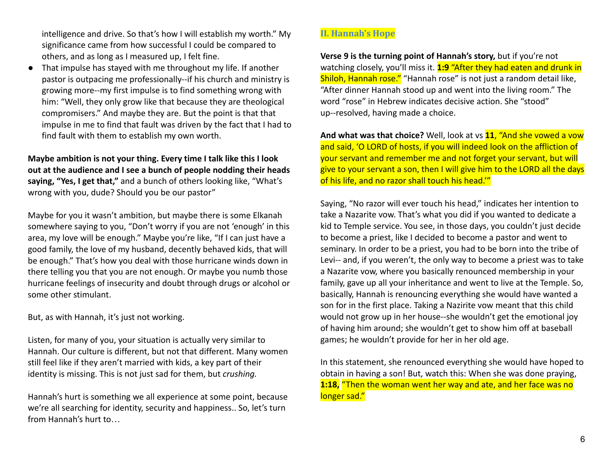intelligence and drive. So that's how I will establish my worth." My significance came from how successful I could be compared to others, and as long as I measured up, I felt fine.

● That impulse has stayed with me throughout my life. If another pastor is outpacing me professionally--if his church and ministry is growing more--my first impulse is to find something wrong with him: "Well, they only grow like that because they are theological compromisers." And maybe they are. But the point is that that impulse in me to find that fault was driven by the fact that I had to find fault with them to establish my own worth.

**Maybe ambition is not your thing. Every time I talk like this I look out at the audience and I see a bunch of people nodding their heads saying, "Yes, I get that,"** and a bunch of others looking like, "What's wrong with you, dude? Should you be our pastor"

Maybe for you it wasn't ambition, but maybe there is some Elkanah somewhere saying to you, "Don't worry if you are not 'enough' in this area, my love will be enough." Maybe you're like, "If I can just have a good family, the love of my husband, decently behaved kids, that will be enough." That's how you deal with those hurricane winds down in there telling you that you are not enough. Or maybe you numb those hurricane feelings of insecurity and doubt through drugs or alcohol or some other stimulant.

But, as with Hannah, it's just not working.

Listen, for many of you, your situation is actually very similar to Hannah. Our culture is different, but not that different. Many women still feel like if they aren't married with kids, a key part of their identity is missing. This is not just sad for them, but *crushing.*

Hannah's hurt is something we all experience at some point, because we're all searching for identity, security and happiness.. So, let's turn from Hannah's hurt to…

### **II. Hannah's Hope**

**Verse 9 is the turning point of Hannah's story,** but if you're not watching closely, you'll miss it. **1:9** "After they had eaten and drunk in Shiloh, Hannah rose." "Hannah rose" is not just a random detail like, "After dinner Hannah stood up and went into the living room." The word "rose" in Hebrew indicates decisive action. She "stood" up--resolved, having made a choice.

**And what was that choice?** Well, look at vs **11**, "And she vowed a vow and said, 'O LORD of hosts, if you will indeed look on the affliction of your servant and remember me and not forget your servant, but will give to your servant a son, then I will give him to the LORD all the days of his life, and no razor shall touch his head."

Saying, "No razor will ever touch his head," indicates her intention to take a Nazarite vow. That's what you did if you wanted to dedicate a kid to Temple service. You see, in those days, you couldn't just decide to become a priest, like I decided to become a pastor and went to seminary. In order to be a priest, you had to be born into the tribe of Levi-- and, if you weren't, the only way to become a priest was to take a Nazarite vow, where you basically renounced membership in your family, gave up all your inheritance and went to live at the Temple. So, basically, Hannah is renouncing everything she would have wanted a son for in the first place. Taking a Nazirite vow meant that this child would not grow up in her house--she wouldn't get the emotional joy of having him around; she wouldn't get to show him off at baseball games; he wouldn't provide for her in her old age.

In this statement, she renounced everything she would have hoped to obtain in having a son! But, watch this: When she was done praying, **1:18,** "Then the woman went her way and ate, and her face was no longer sad."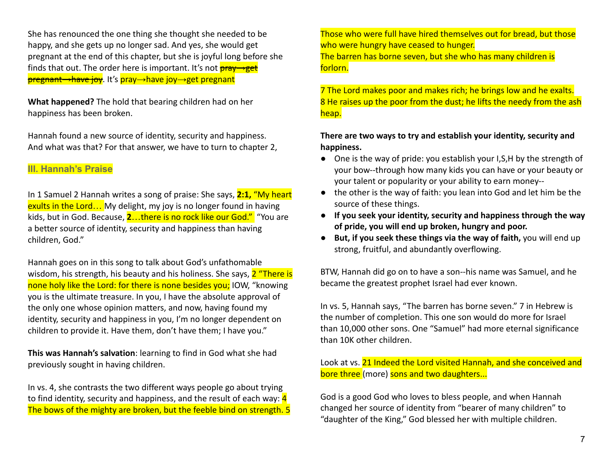She has renounced the one thing she thought she needed to be happy, and she gets up no longer sad. And yes, she would get pregnant at the end of this chapter, but she is joyful long before she finds that out. The order here is important. It's not  $\frac{\text{pray} \rightarrow \text{get}}{\text{pray}}$ <del>pregnant→have joy</del>. It's pray→have joy→get pregnant

**What happened?** The hold that bearing children had on her happiness has been broken.

Hannah found a new source of identity, security and happiness. And what was that? For that answer, we have to turn to chapter 2,

## **III. Hannah's Praise**

In 1 Samuel 2 Hannah writes a song of praise: She says, **2:1,** "My heart exults in the Lord... My delight, my joy is no longer found in having kids, but in God. Because, **2**…there is no rock like our God." "You are a better source of identity, security and happiness than having children, God."

Hannah goes on in this song to talk about God's unfathomable wisdom, his strength, his beauty and his holiness. She says, 2 "There is none holy like the Lord: for there is none besides you; IOW, "knowing you is the ultimate treasure. In you, I have the absolute approval of the only one whose opinion matters, and now, having found my identity, security and happiness in you, I'm no longer dependent on children to provide it. Have them, don't have them; I have you."

**This was Hannah's salvation**: learning to find in God what she had previously sought in having children.

In vs. 4, she contrasts the two different ways people go about trying to find identity, security and happiness, and the result of each way: 4 The bows of the mighty are broken, but the feeble bind on strength. 5 Those who were full have hired themselves out for bread, but those who were hungry have ceased to hunger.

The barren has borne seven, but she who has many children is forlorn.

7 The Lord makes poor and makes rich; he brings low and he exalts. 8 He raises up the poor from the dust; he lifts the needy from the ash heap.

### **There are two ways to try and establish your identity, security and happiness.**

- One is the way of pride: you establish your I, S, H by the strength of your bow--through how many kids you can have or your beauty or your talent or popularity or your ability to earn money--
- the other is the way of faith: you lean into God and let him be the source of these things.
- **If you seek your identity, security and happiness through the way of pride, you will end up broken, hungry and poor.**
- **But, if you seek these things via the way of faith,** you will end up strong, fruitful, and abundantly overflowing.

BTW, Hannah did go on to have a son--his name was Samuel, and he became the greatest prophet Israel had ever known.

In vs. 5, Hannah says, "The barren has borne seven." 7 in Hebrew is the number of completion. This one son would do more for Israel than 10,000 other sons. One "Samuel" had more eternal significance than 10K other children.

Look at vs. 21 Indeed the Lord visited Hannah, and she conceived and bore three (more) sons and two daughters...

God is a good God who loves to bless people, and when Hannah changed her source of identity from "bearer of many children" to "daughter of the King," God blessed her with multiple children.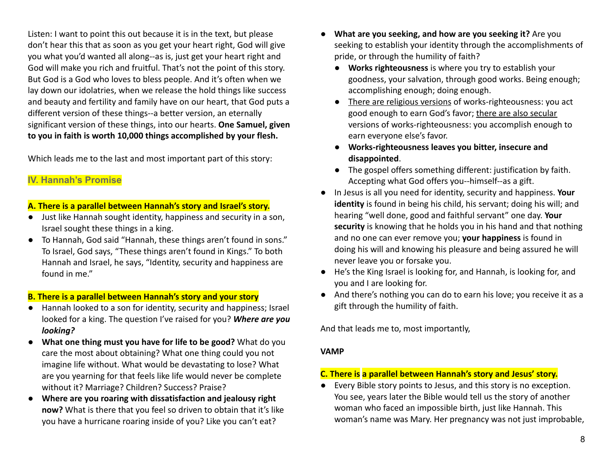Listen: I want to point this out because it is in the text, but please don't hear this that as soon as you get your heart right, God will give you what you'd wanted all along--as is, just get your heart right and God will make you rich and fruitful. That's not the point of this story. But God is a God who loves to bless people. And it's often when we lay down our idolatries, when we release the hold things like success and beauty and fertility and family have on our heart, that God puts a different version of these things--a better version, an eternally significant version of these things, into our hearts. **One Samuel, given to you in faith is worth 10,000 things accomplished by your flesh.**

Which leads me to the last and most important part of this story:

## **IV. Hannah's Promise**

#### **A. There is a parallel between Hannah's story and Israel's story.**

- Just like Hannah sought identity, happiness and security in a son, Israel sought these things in a king.
- To Hannah, God said "Hannah, these things aren't found in sons." To Israel, God says, "These things aren't found in Kings." To both Hannah and Israel, he says, "Identity, security and happiness are found in me."

#### **B. There is a parallel between Hannah's story and your story**

- Hannah looked to a son for identity, security and happiness; Israel looked for a king. The question I've raised for you? *Where are you looking?*
- **What one thing must you have for life to be good?** What do you care the most about obtaining? What one thing could you not imagine life without. What would be devastating to lose? What are you yearning for that feels like life would never be complete without it? Marriage? Children? Success? Praise?
- **Where are you roaring with dissatisfaction and jealousy right now?** What is there that you feel so driven to obtain that it's like you have a hurricane roaring inside of you? Like you can't eat?
- **What are you seeking, and how are you seeking it?** Are you seeking to establish your identity through the accomplishments of pride, or through the humility of faith?
	- **Works righteousness** is where you try to establish your goodness, your salvation, through good works. Being enough; accomplishing enough; doing enough.
	- There are religious versions of works-righteousness: you act good enough to earn God's favor; there are also secular versions of works-righteousness: you accomplish enough to earn everyone else's favor.
	- **Works-righteousness leaves you bitter, insecure and disappointed**.
	- The gospel offers something different: justification by faith. Accepting what God offers you--himself--as a gift.
- In Jesus is all you need for identity, security and happiness. **Your identity** is found in being his child, his servant; doing his will; and hearing "well done, good and faithful servant" one day. **Your security** is knowing that he holds you in his hand and that nothing and no one can ever remove you; **your happiness** is found in doing his will and knowing his pleasure and being assured he will never leave you or forsake you.
- He's the King Israel is looking for, and Hannah, is looking for, and you and I are looking for.
- And there's nothing you can do to earn his love; you receive it as a gift through the humility of faith.

And that leads me to, most importantly,

#### **VAMP**

#### **C. There is a parallel between Hannah's story and Jesus' story.**

● Every Bible story points to Jesus, and this story is no exception. You see, years later the Bible would tell us the story of another woman who faced an impossible birth, just like Hannah. This woman's name was Mary. Her pregnancy was not just improbable,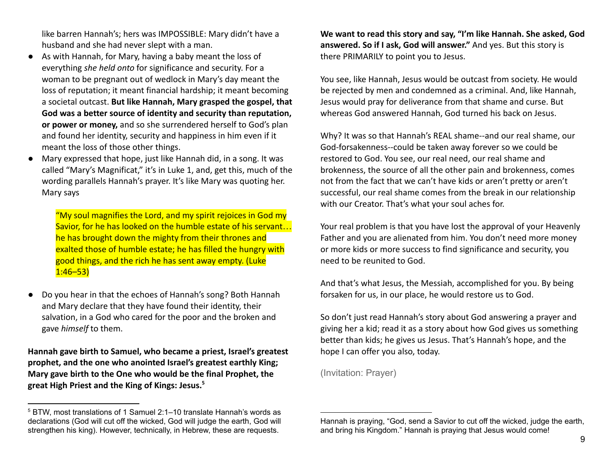like barren Hannah's; hers was IMPOSSIBLE: Mary didn't have a husband and she had never slept with a man.

- As with Hannah, for Mary, having a baby meant the loss of everything *she held onto* for significance and security. For a woman to be pregnant out of wedlock in Mary's day meant the loss of reputation; it meant financial hardship; it meant becoming a societal outcast. **But like Hannah, Mary grasped the gospel, that God was a better source of identity and security than reputation, or power or money,** and so she surrendered herself to God's plan and found her identity, security and happiness in him even if it meant the loss of those other things.
- Mary expressed that hope, just like Hannah did, in a song. It was called "Mary's Magnificat," it's in Luke 1, and, get this, much of the wording parallels Hannah's prayer. It's like Mary was quoting her. Mary says

"My soul magnifies the Lord, and my spirit rejoices in God my Savior, for he has looked on the humble estate of his servant... he has brought down the mighty from their thrones and exalted those of humble estate; he has filled the hungry with good things, and the rich he has sent away empty. (Luke  $1:46 - 53$ 

● Do you hear in that the echoes of Hannah's song? Both Hannah and Mary declare that they have found their identity, their salvation, in a God who cared for the poor and the broken and gave *himself* to them.

**Hannah gave birth to Samuel, who became a priest, Israel's greatest prophet, and the one who anointed Israel's greatest earthly King; Mary gave birth to the One who would be the final Prophet, the great High Priest and the King of Kings: Jesus.<sup>5</sup>**

**We want to read this story and say, "I'm like Hannah. She asked, God answered. So if I ask, God will answer."** And yes. But this story is there PRIMARILY to point you to Jesus.

You see, like Hannah, Jesus would be outcast from society. He would be rejected by men and condemned as a criminal. And, like Hannah, Jesus would pray for deliverance from that shame and curse. But whereas God answered Hannah, God turned his back on Jesus.

Why? It was so that Hannah's REAL shame--and our real shame, our God-forsakenness--could be taken away forever so we could be restored to God. You see, our real need, our real shame and brokenness, the source of all the other pain and brokenness, comes not from the fact that we can't have kids or aren't pretty or aren't successful, our real shame comes from the break in our relationship with our Creator. That's what your soul aches for.

Your real problem is that you have lost the approval of your Heavenly Father and you are alienated from him. You don't need more money or more kids or more success to find significance and security, you need to be reunited to God.

And that's what Jesus, the Messiah, accomplished for you. By being forsaken for us, in our place, he would restore us to God.

So don't just read Hannah's story about God answering a prayer and giving her a kid; read it as a story about how God gives us something better than kids; he gives us Jesus. That's Hannah's hope, and the hope I can offer you also, today.

(Invitation: Prayer)

<sup>5</sup> BTW, most translations of 1 Samuel 2:1–10 translate Hannah's words as declarations (God will cut off the wicked, God will judge the earth, God will strengthen his king). However, technically, in Hebrew, these are requests.

Hannah is praying, "God, send a Savior to cut off the wicked, judge the earth, and bring his Kingdom." Hannah is praying that Jesus would come!